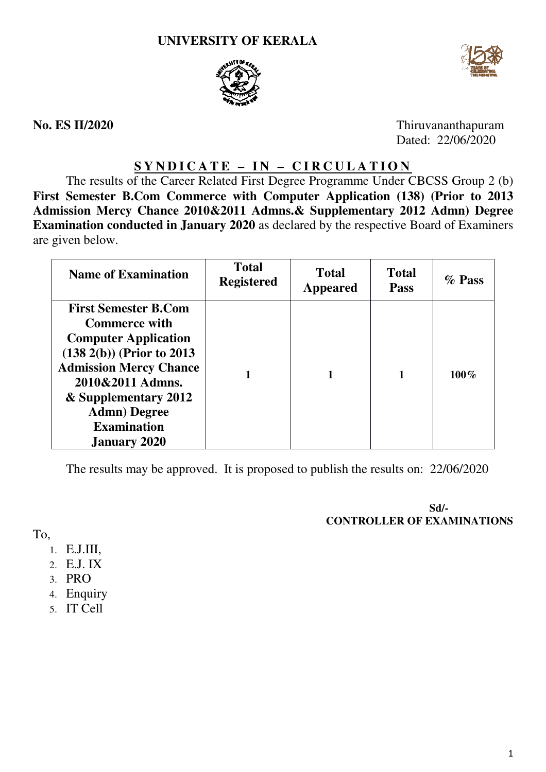



**No. ES II/2020**

Thiruvananthapuram Dated: 22/06/2020

# **S Y N D I C A T E – I N – C I R C U L A T I O N**

The results of the Career Related First Degree Programme Under CBCSS Group 2 (b) First Semester B.Com Commerce with Computer Application (138) (Prior to 2013 **Admission Mercy Chance 2010&2011 Admns.& Supplementary 2012 Admn Admn) Degree Examination conducted in January 2020**  as declared by the respective Board of Examiners are given below.

| <b>Name of Examination</b>                                                                                                                                                                                                                                            | <b>Total</b><br><b>Registered</b> | <b>Total</b><br><b>Appeared</b> | <b>Total</b><br><b>Pass</b> | $\%$ Pass |
|-----------------------------------------------------------------------------------------------------------------------------------------------------------------------------------------------------------------------------------------------------------------------|-----------------------------------|---------------------------------|-----------------------------|-----------|
| <b>First Semester B.Com</b><br><b>Commerce with</b><br><b>Computer Application</b><br>$(138\ 2(b))$ (Prior to 2013)<br><b>Admission Mercy Chance</b><br>2010&2011 Admns.<br>& Supplementary 2012<br><b>Admn</b> ) Degree<br><b>Examination</b><br><b>January 2020</b> |                                   |                                 |                             | $100\%$   |

The results may be approved. It is proposed to publish the results on: 22/06/2020

**CONTROLLER OF EXAMINATIONS Sd/-** 

To,

- 1. E.J.III,
- 2. E.J. IX
- 3. PRO
- 4. Enquiry
- 5. IT Cell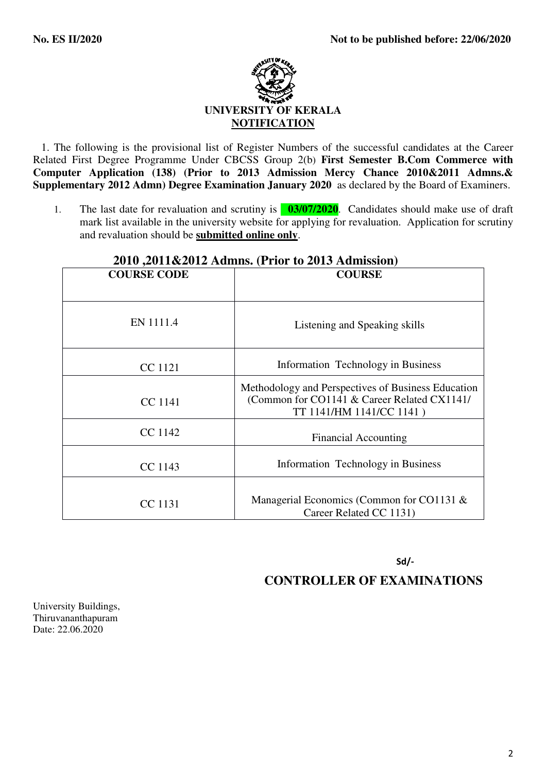

 1. The following is the provisional list of Register Numbers of the successful candidates at the Career Related First Degree Programme Under CBCSS Group 2(b) **First Semester B.Com Commerce with Computer Application (138) (Prior to 2013 Admission Mercy Chance 2010&2011 Admns.& Supplementary 2012 Admn) Degree Examination January 2020** as declared by the Board of Examiners.

1. The last date for revaluation and scrutiny is **03/07/2020**. Candidates should make use of draft mark list available in the university website for applying for revaluation. Application for scrutiny and revaluation should be **submitted online only**.

| $2010,2011\&2012$ Aunins, (1 1101 to 2013 Auninssion) |                                                                                                                               |  |  |
|-------------------------------------------------------|-------------------------------------------------------------------------------------------------------------------------------|--|--|
| <b>COURSE CODE</b>                                    | <b>COURSE</b>                                                                                                                 |  |  |
|                                                       |                                                                                                                               |  |  |
| EN 1111.4                                             | Listening and Speaking skills                                                                                                 |  |  |
| CC 1121                                               | Information Technology in Business                                                                                            |  |  |
| CC 1141                                               | Methodology and Perspectives of Business Education<br>(Common for CO1141 & Career Related CX1141/<br>TT 1141/HM 1141/CC 1141) |  |  |
| CC 1142                                               | <b>Financial Accounting</b>                                                                                                   |  |  |
| CC 1143                                               | Information Technology in Business                                                                                            |  |  |
| CC 1131                                               | Managerial Economics (Common for CO1131 $\&$<br>Career Related CC 1131)                                                       |  |  |

## **2010 ,2011&2012 Admns. (Prior to 2013 Admission)**

Sd/-

### **CONTROLLER OF EXAMINATIONS**

University Buildings, Thiruvananthapuram Date: 22.06.2020